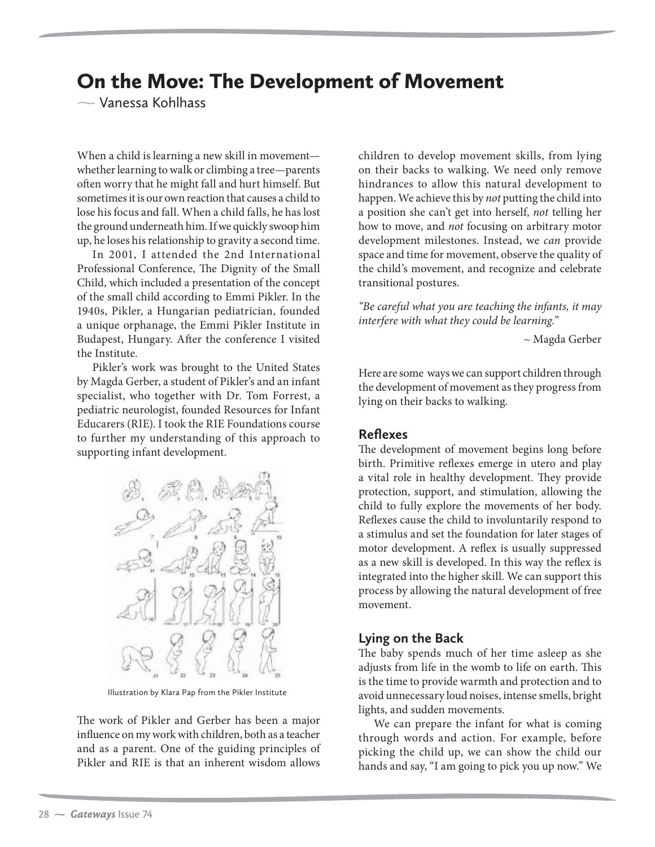# On the Move: The Development of Movement

 $\sim$  Vanessa Kohlhass Vanessa Kohlhass

When a child is learning a new skill in movement whether learning to walk or climbing a tree—parents often worry that he might fall and hurt himself. But sometimes it is our own reaction that causes a child to lose his focus and fall. When a child falls, he has lost the ground underneath him. If we quickly swoop him up, he loses his relationship to gravity a second time.

In 2001, I attended the 2nd International Professional Conference, The Dignity of the Small Child, which included a presentation of the concept of the small child according to Emmi Pikler. In the 1940s, Pikler, a Hungarian pediatrician, founded a unique orphanage, the Emmi Pikler Institute in Budapest, Hungary. After the conference I visited the Institute.

Pikler's work was brought to the United States by Magda Gerber, a student of Pikler's and an infant specialist, who together with Dr. Tom Forrest, a pediatric neurologist, founded Resources for Infant Educarers (RIE). I took the RIE Foundations course to further my understanding of this approach to supporting infant development.



Illustration by Klara Pap from the Pikler Institute

The work of Pikler and Gerber has been a major influence on my work with children, both as a teacher and as a parent. One of the guiding principles of Pikler and RIE is that an inherent wisdom allows

children to develop movement skills, from lying on their backs to walking. We need only remove hindrances to allow this natural development to happen. We achieve this by *not* putting the child into a position she can't get into herself, *not* telling her how to move, and *not* focusing on arbitrary motor development milestones. Instead, we *can* provide space and time for movement, observe the quality of the child's movement, and recognize and celebrate transitional postures.

*"Be careful what you are teaching the infants, it may interfere with what they could be learning."* 

~ Magda Gerber

Here are some ways we can support children through the development of movement as they progress from lying on their backs to walking.

#### **Reflexes**

The development of movement begins long before birth. Primitive reflexes emerge in utero and play a vital role in healthy development. They provide protection, support, and stimulation, allowing the child to fully explore the movements of her body. Reflexes cause the child to involuntarily respond to a stimulus and set the foundation for later stages of motor development. A reflex is usually suppressed as a new skill is developed. In this way the reflex is integrated into the higher skill. We can support this process by allowing the natural development of free movement.

#### **Lying on the Back**

The baby spends much of her time asleep as she adjusts from life in the womb to life on earth. This is the time to provide warmth and protection and to avoid unnecessary loud noises, intense smells, bright lights, and sudden movements.

We can prepare the infant for what is coming through words and action. For example, before picking the child up, we can show the child our hands and say, "I am going to pick you up now." We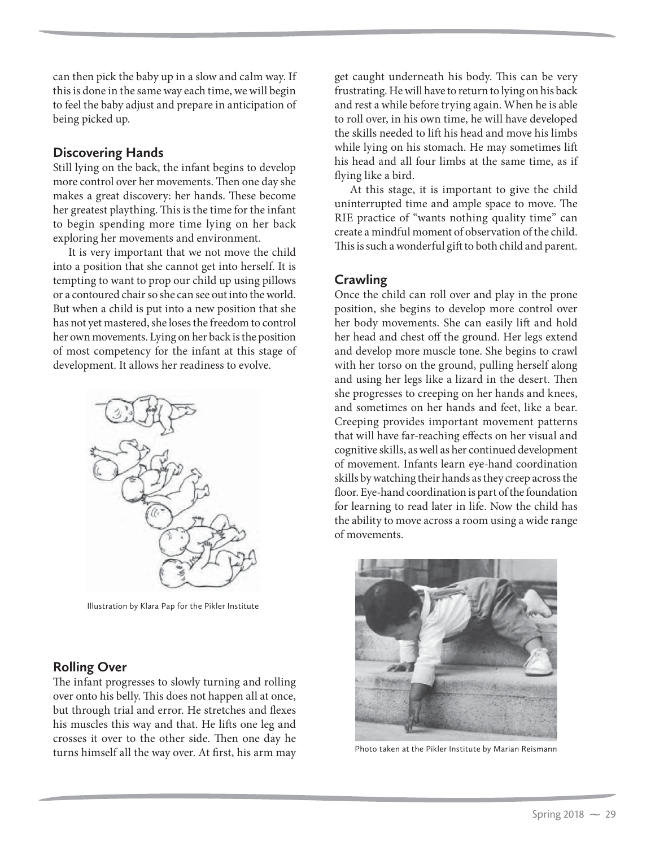can then pick the baby up in a slow and calm way. If this is done in the same way each time, we will begin to feel the baby adjust and prepare in anticipation of being picked up.

### **Discovering Hands**

Still lying on the back, the infant begins to develop more control over her movements. Then one day she makes a great discovery: her hands. These become her greatest plaything. This is the time for the infant to begin spending more time lying on her back exploring her movements and environment.

It is very important that we not move the child into a position that she cannot get into herself. It is tempting to want to prop our child up using pillows or a contoured chair so she can see out into the world. But when a child is put into a new position that she has not yet mastered, she loses the freedom to control her own movements. Lying on her back is the position of most competency for the infant at this stage of development. It allows her readiness to evolve.



Illustration by Klara Pap for the Pikler Institute

# **Rolling Over**

The infant progresses to slowly turning and rolling over onto his belly. This does not happen all at once, but through trial and error. He stretches and flexes his muscles this way and that. He lifts one leg and crosses it over to the other side. Then one day he turns himself all the way over. At first, his arm may

get caught underneath his body. This can be very frustrating. He will have to return to lying on his back and rest a while before trying again. When he is able to roll over, in his own time, he will have developed the skills needed to lift his head and move his limbs while lying on his stomach. He may sometimes lift his head and all four limbs at the same time, as if flying like a bird.

At this stage, it is important to give the child uninterrupted time and ample space to move. The RIE practice of "wants nothing quality time" can create a mindful moment of observation of the child. This is such a wonderful gift to both child and parent.

# **Crawling**

Once the child can roll over and play in the prone position, she begins to develop more control over her body movements. She can easily lift and hold her head and chest off the ground. Her legs extend and develop more muscle tone. She begins to crawl with her torso on the ground, pulling herself along and using her legs like a lizard in the desert. Then she progresses to creeping on her hands and knees, and sometimes on her hands and feet, like a bear. Creeping provides important movement patterns that will have far-reaching effects on her visual and cognitive skills, as well as her continued development of movement. Infants learn eye-hand coordination skills by watching their hands as they creep across the floor. Eye-hand coordination is part of the foundation for learning to read later in life. Now the child has the ability to move across a room using a wide range of movements.



Photo taken at the Pikler Institute by Marian Reismann